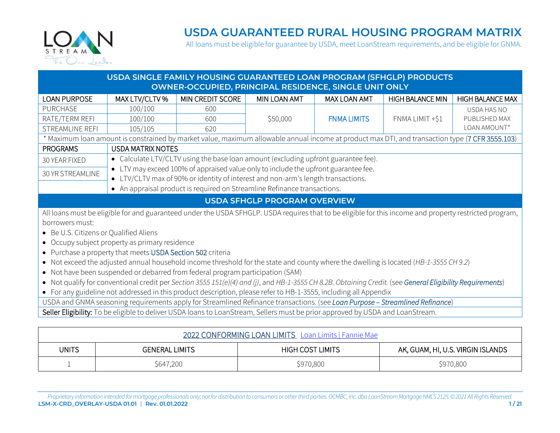

#### **USDA GUARANTEED RURAL HOUSING PROGRAM MATRIX**

<span id="page-0-0"></span>All loans must be eligible for guarantee by USDA, meet LoanStream requirements, and be eligible for GNMA.

#### **USDA SINGLE FAMILY HOUSING GUARANTEED LOAN PROGRAM (SFHGLP) PRODUCTS OWNER-OCCUPIED, PRINCIPAL RESIDENCE, SINGLE UNIT ONLY**

| <b>LOAN PURPOSE</b>                                                                                                                                       | MAX LTV/CLTV %                                                                                                                 | <b>MIN CREDIT SCORE</b>                                                                                                                                      | MIN LOAN AMT | <b>MAX LOAN AMT</b> | <b>HIGH BALANCE MIN</b> | <b>HIGH BALANCE MAX</b> |
|-----------------------------------------------------------------------------------------------------------------------------------------------------------|--------------------------------------------------------------------------------------------------------------------------------|--------------------------------------------------------------------------------------------------------------------------------------------------------------|--------------|---------------------|-------------------------|-------------------------|
| <b>PURCHASE</b>                                                                                                                                           | 100/100                                                                                                                        | 600                                                                                                                                                          |              |                     |                         | USDA HAS NO             |
| RATE/TERM REFI                                                                                                                                            | 100/100                                                                                                                        | 600                                                                                                                                                          | \$50,000     | <b>FNMA LIMITS</b>  | FNMA LIMIT +\$1         | PUBLISHED MAX           |
| STREAMLINE REFI                                                                                                                                           | 105/105                                                                                                                        | 620                                                                                                                                                          |              |                     |                         | LOAN AMOUNT*            |
|                                                                                                                                                           |                                                                                                                                | * Maximum loan amount is constrained by market value, maximum allowable annual income at product max DTI, and transaction type (7 CFR 3555.103)              |              |                     |                         |                         |
| <b>PROGRAMS</b>                                                                                                                                           | <b>USDA MATRIX NOTES</b>                                                                                                       |                                                                                                                                                              |              |                     |                         |                         |
| 30 YEAR FIXED                                                                                                                                             |                                                                                                                                | • Calculate LTV/CLTV using the base loan amount (excluding upfront guarantee fee).                                                                           |              |                     |                         |                         |
| 30 YR STREAMLINE                                                                                                                                          | $\bullet$                                                                                                                      | LTV may exceed 100% of appraised value only to include the upfront guarantee fee.                                                                            |              |                     |                         |                         |
|                                                                                                                                                           |                                                                                                                                | • LTV/CLTV max of 90% or identity of interest and non-arm's length transactions.<br>• An appraisal product is required on Streamline Refinance transactions. |              |                     |                         |                         |
|                                                                                                                                                           |                                                                                                                                |                                                                                                                                                              |              |                     |                         |                         |
| <b>USDA SFHGLP PROGRAM OVERVIEW</b>                                                                                                                       |                                                                                                                                |                                                                                                                                                              |              |                     |                         |                         |
| All loans must be eligible for and guaranteed under the USDA SFHGLP. USDA requires that to be eligible for this income and property restricted program,   |                                                                                                                                |                                                                                                                                                              |              |                     |                         |                         |
| borrowers must:                                                                                                                                           |                                                                                                                                |                                                                                                                                                              |              |                     |                         |                         |
| • Be U.S. Citizens or Qualified Aliens                                                                                                                    |                                                                                                                                |                                                                                                                                                              |              |                     |                         |                         |
| • Occupy subject property as primary residence                                                                                                            |                                                                                                                                |                                                                                                                                                              |              |                     |                         |                         |
| • Purchase a property that meets USDA Section 502 criteria                                                                                                |                                                                                                                                |                                                                                                                                                              |              |                     |                         |                         |
| • Not exceed the adjusted annual household income threshold for the state and county where the dwelling is located (HB-1-3555 CH 9.2)                     |                                                                                                                                |                                                                                                                                                              |              |                     |                         |                         |
| • Not have been suspended or debarred from federal program participation (SAM)                                                                            |                                                                                                                                |                                                                                                                                                              |              |                     |                         |                         |
| • Not qualify for conventional credit per Section 3555 151(e)(4) and (j), and HB-1-3555 CH 8.2B. Obtaining Credit. (see General Eligibility Requirements) |                                                                                                                                |                                                                                                                                                              |              |                     |                         |                         |
| • For any guideline not addressed in this product description, please refer to HB-1-3555, including all Appendix                                          |                                                                                                                                |                                                                                                                                                              |              |                     |                         |                         |
| USDA and GNMA seasoning requirements apply for Streamlined Refinance transactions. (see Loan Purpose - Streamlined Refinance)                             |                                                                                                                                |                                                                                                                                                              |              |                     |                         |                         |
|                                                                                                                                                           | Seller Eligibility: To be eligible to deliver USDA loans to LoanStream, Sellers must be prior approved by USDA and LoanStream. |                                                                                                                                                              |              |                     |                         |                         |

| 2022 CONFORMING LOAN LIMITS Loan Limits   Fannie Mae |                       |                         |                                   |  |
|------------------------------------------------------|-----------------------|-------------------------|-----------------------------------|--|
| <b>UNITS</b>                                         | <b>GENERAL LIMITS</b> | <b>HIGH COST LIMITS</b> | AK, GUAM, HI, U.S. VIRGIN ISLANDS |  |
|                                                      | \$647,200             | \$970,800               | \$970,800                         |  |

*Proprietary information intended for mortgage professionals only; not for distribution to consumers or other third parties. OCMBC, Inc. dba LoanStream Mortgage NMLS 2125. © 2021 All Rights Reserved.* **LSM-X-CRD\_OVERLAY-USDA 01.01 Rev. 01.01.2022 1 / 21**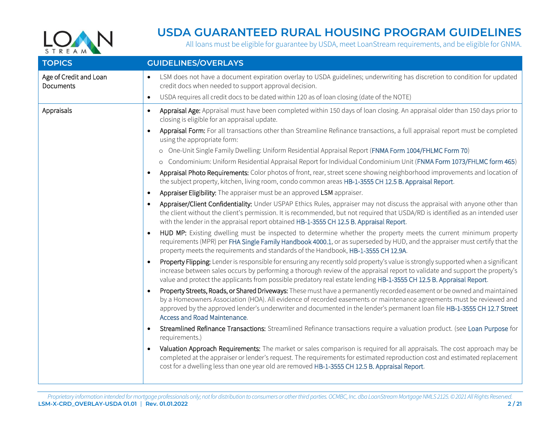

| <b>TOPICS</b>                              | <b>GUIDELINES/OVERLAYS</b>                                                                                                                                                                                                                                                                                                                                                                                    |
|--------------------------------------------|---------------------------------------------------------------------------------------------------------------------------------------------------------------------------------------------------------------------------------------------------------------------------------------------------------------------------------------------------------------------------------------------------------------|
| Age of Credit and Loan<br><b>Documents</b> | LSM does not have a document expiration overlay to USDA guidelines; underwriting has discretion to condition for updated<br>credit docs when needed to support approval decision.                                                                                                                                                                                                                             |
|                                            | USDA requires all credit docs to be dated within 120 as of loan closing (date of the NOTE)<br>$\bullet$                                                                                                                                                                                                                                                                                                       |
| Appraisals                                 | Appraisal Age: Appraisal must have been completed within 150 days of loan closing. An appraisal older than 150 days prior to<br>$\bullet$<br>closing is eligible for an appraisal update.                                                                                                                                                                                                                     |
|                                            | Appraisal Form: For all transactions other than Streamline Refinance transactions, a full appraisal report must be completed<br>using the appropriate form:                                                                                                                                                                                                                                                   |
|                                            | o One-Unit Single Family Dwelling: Uniform Residential Appraisal Report (FNMA Form 1004/FHLMC Form 70)                                                                                                                                                                                                                                                                                                        |
|                                            | o Condominium: Uniform Residential Appraisal Report for Individual Condominium Unit (FNMA Form 1073/FHLMC form 465)                                                                                                                                                                                                                                                                                           |
|                                            | Appraisal Photo Requirements: Color photos of front, rear, street scene showing neighborhood improvements and location of<br>the subject property, kitchen, living room, condo common areas HB-1-3555 CH 12.5 B. Appraisal Report.                                                                                                                                                                            |
|                                            | Appraiser Eligibility: The appraiser must be an approved LSM appraiser.                                                                                                                                                                                                                                                                                                                                       |
|                                            | Appraiser/Client Confidentiality: Under USPAP Ethics Rules, appraiser may not discuss the appraisal with anyone other than<br>the client without the client's permission. It is recommended, but not required that USDA/RD is identified as an intended user<br>with the lender in the appraisal report obtained HB-1-3555 CH 12.5 B. Appraisal Report.                                                       |
|                                            | HUD MP: Existing dwelling must be inspected to determine whether the property meets the current minimum property<br>requirements (MPR) per FHA Single Family Handbook 4000.1, or as superseded by HUD, and the appraiser must certify that the<br>property meets the requirements and standards of the Handbook, HB-1-3555 CH 12.9A.                                                                          |
|                                            | Property Flipping: Lender is responsible for ensuring any recently sold property's value is strongly supported when a significant<br>increase between sales occurs by performing a thorough review of the appraisal report to validate and support the property's<br>value and protect the applicants from possible predatory real estate lending HB-1-3555 CH 12.5 B. Appraisal Report.                      |
|                                            | Property Streets, Roads, or Shared Driveways: These must have a permanently recorded easement or be owned and maintained<br>by a Homeowners Association (HOA). All evidence of recorded easements or maintenance agreements must be reviewed and<br>approved by the approved lender's underwriter and documented in the lender's permanent loan file HB-1-3555 CH 12.7 Street<br>Access and Road Maintenance. |
|                                            | Streamlined Refinance Transactions: Streamlined Refinance transactions require a valuation product. (see Loan Purpose for<br>requirements.)                                                                                                                                                                                                                                                                   |
|                                            | Valuation Approach Requirements: The market or sales comparison is required for all appraisals. The cost approach may be<br>completed at the appraiser or lender's request. The requirements for estimated reproduction cost and estimated replacement<br>cost for a dwelling less than one year old are removed HB-1-3555 CH 12.5 B. Appraisal Report.                                                       |
|                                            |                                                                                                                                                                                                                                                                                                                                                                                                               |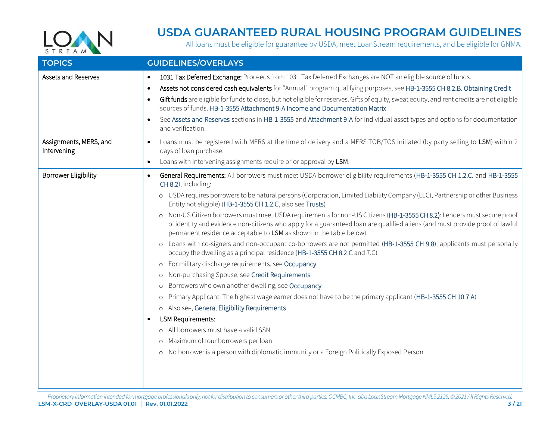

<span id="page-2-1"></span><span id="page-2-0"></span>

| <b>TOPICS</b>                         | <b>GUIDELINES/OVERLAYS</b>                                                                                                                                                                                                                                                                                                                                                                                                                                                                                                                                                                                                                                                                                                                                                                                                                                                                                                                                                                                                                                                                                                                                                                                                                                                                                                                                                                                                                                                      |
|---------------------------------------|---------------------------------------------------------------------------------------------------------------------------------------------------------------------------------------------------------------------------------------------------------------------------------------------------------------------------------------------------------------------------------------------------------------------------------------------------------------------------------------------------------------------------------------------------------------------------------------------------------------------------------------------------------------------------------------------------------------------------------------------------------------------------------------------------------------------------------------------------------------------------------------------------------------------------------------------------------------------------------------------------------------------------------------------------------------------------------------------------------------------------------------------------------------------------------------------------------------------------------------------------------------------------------------------------------------------------------------------------------------------------------------------------------------------------------------------------------------------------------|
| Assets and Reserves                   | 1031 Tax Deferred Exchange: Proceeds from 1031 Tax Deferred Exchanges are NOT an eligible source of funds.<br>$\bullet$<br>Assets not considered cash equivalents for "Annual" program qualifying purposes, see HB-1-3555 CH 8.2.B. Obtaining Credit.<br>$\bullet$<br>Gift funds are eligible for funds to close, but not eligible for reserves. Gifts of equity, sweat equity, and rent credits are not eligible<br>$\bullet$<br>sources of funds. HB-1-3555 Attachment 9-A Income and Documentation Matrix<br>See Assets and Reserves sections in HB-1-3555 and Attachment 9-A for individual asset types and options for documentation<br>and verification.                                                                                                                                                                                                                                                                                                                                                                                                                                                                                                                                                                                                                                                                                                                                                                                                                  |
| Assignments, MERS, and<br>Intervening | Loans must be registered with MERS at the time of delivery and a MERS TOB/TOS initiated (by party selling to LSM) within 2<br>$\bullet$<br>days of loan purchase.<br>Loans with intervening assignments require prior approval by LSM.<br>$\bullet$                                                                                                                                                                                                                                                                                                                                                                                                                                                                                                                                                                                                                                                                                                                                                                                                                                                                                                                                                                                                                                                                                                                                                                                                                             |
| <b>Borrower Eligibility</b>           | General Requirements: All borrowers must meet USDA borrower eligibility requirements (HB-1-3555 CH 1.2.C. and HB-1-3555<br>$\bullet$<br>CH 8.2), including:<br>o USDA requires borrowers to be natural persons (Corporation, Limited Liability Company (LLC), Partnership or other Business<br>Entity not eligible) (HB-1-3555 CH 1.2.C, also see Trusts)<br>o Non-US Citizen borrowers must meet USDA requirements for non-US Citizens (HB-1-3555 CH 8.2): Lenders must secure proof<br>of identity and evidence non-citizens who apply for a guaranteed loan are qualified aliens (and must provide proof of lawful<br>permanent residence acceptable to LSM as shown in the table below)<br>o Loans with co-signers and non-occupant co-borrowers are not permitted (HB-1-3555 CH 9.8); applicants must personally<br>occupy the dwelling as a principal residence (HB-1-3555 CH 8.2.C and 7.C)<br>o For military discharge requirements, see Occupancy<br>o Non-purchasing Spouse, see Credit Requirements<br>Borrowers who own another dwelling, see Occupancy<br>$\circ$<br>Primary Applicant: The highest wage earner does not have to be the primary applicant (HB-1-3555 CH 10.7.A)<br>$\circ$<br>o Also see, General Eligibility Requirements<br><b>LSM Requirements:</b><br>$\bullet$<br>o All borrowers must have a valid SSN<br>o Maximum of four borrowers per loan<br>o No borrower is a person with diplomatic immunity or a Foreign Politically Exposed Person |
|                                       |                                                                                                                                                                                                                                                                                                                                                                                                                                                                                                                                                                                                                                                                                                                                                                                                                                                                                                                                                                                                                                                                                                                                                                                                                                                                                                                                                                                                                                                                                 |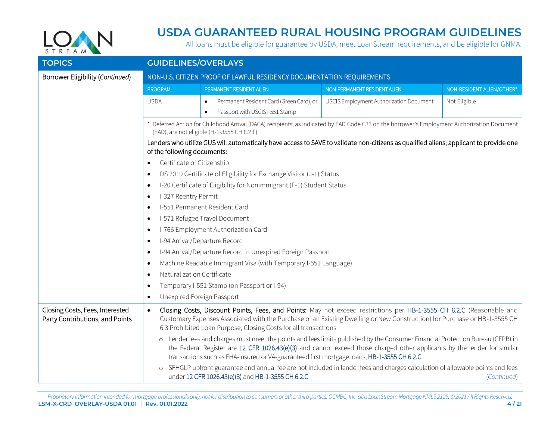

| <b>TOPICS</b>                                                      | <b>GUIDELINES/OVERLAYS</b>                                                         |                                                                                                                                                                                                                                                                                                                                                          |                                         |                           |  |
|--------------------------------------------------------------------|------------------------------------------------------------------------------------|----------------------------------------------------------------------------------------------------------------------------------------------------------------------------------------------------------------------------------------------------------------------------------------------------------------------------------------------------------|-----------------------------------------|---------------------------|--|
| Borrower Eligibility (Continued)                                   | NON-U.S. CITIZEN PROOF OF LAWFUL RESIDENCY DOCUMENTATION REQUIREMENTS              |                                                                                                                                                                                                                                                                                                                                                          |                                         |                           |  |
|                                                                    | <b>PROGRAM</b>                                                                     | PERMANENT RESIDENT ALIEN                                                                                                                                                                                                                                                                                                                                 | NON-PERMANENT RESIDENT ALIEN            | NON-RESIDENT ALIEN/OTHER* |  |
|                                                                    | <b>USDA</b>                                                                        | Permanent Resident Card (Green Card), or<br>Passport with USCIS I-551 Stamp<br>$\bullet$                                                                                                                                                                                                                                                                 | USCIS Employment Authorization Document | Not Eligible              |  |
|                                                                    |                                                                                    | Deferred Action for Childhood Arrival (DACA) recipients, as indicated by EAD Code C33 on the borrower's Employment Authorization Document<br>(EAD), are not eligible (H-1-3555 CH 8.2.F)                                                                                                                                                                 |                                         |                           |  |
|                                                                    | of the following documents:                                                        | Lenders who utilize GUS will automatically have access to SAVE to validate non-citizens as qualified aliens; applicant to provide one                                                                                                                                                                                                                    |                                         |                           |  |
|                                                                    | Certificate of Citizenship                                                         |                                                                                                                                                                                                                                                                                                                                                          |                                         |                           |  |
|                                                                    | $\bullet$                                                                          | DS 2019 Certificate of Eligibility for Exchange Visitor (J-1) Status                                                                                                                                                                                                                                                                                     |                                         |                           |  |
|                                                                    | I-20 Certificate of Eligibility for Nonimmigrant (F-1) Student Status<br>$\bullet$ |                                                                                                                                                                                                                                                                                                                                                          |                                         |                           |  |
|                                                                    | I-327 Reentry Permit<br>٠                                                          |                                                                                                                                                                                                                                                                                                                                                          |                                         |                           |  |
|                                                                    | I-551 Permanent Resident Card<br>$\bullet$                                         |                                                                                                                                                                                                                                                                                                                                                          |                                         |                           |  |
|                                                                    | ٠                                                                                  | I-571 Refugee Travel Document                                                                                                                                                                                                                                                                                                                            |                                         |                           |  |
|                                                                    | $\bullet$                                                                          | I-766 Employment Authorization Card                                                                                                                                                                                                                                                                                                                      |                                         |                           |  |
|                                                                    | ٠                                                                                  | I-94 Arrival/Departure Record                                                                                                                                                                                                                                                                                                                            |                                         |                           |  |
|                                                                    | $\bullet$                                                                          | I-94 Arrival/Departure Record in Unexpired Foreign Passport                                                                                                                                                                                                                                                                                              |                                         |                           |  |
|                                                                    | Machine Readable Immigrant Visa (with Temporary I-551 Language)<br>$\bullet$       |                                                                                                                                                                                                                                                                                                                                                          |                                         |                           |  |
|                                                                    | Naturalization Certificate<br>$\bullet$                                            |                                                                                                                                                                                                                                                                                                                                                          |                                         |                           |  |
|                                                                    | ٠                                                                                  | Temporary I-551 Stamp (on Passport or I-94)                                                                                                                                                                                                                                                                                                              |                                         |                           |  |
|                                                                    | Unexpired Foreign Passport<br>$\bullet$                                            |                                                                                                                                                                                                                                                                                                                                                          |                                         |                           |  |
| Closing Costs, Fees, Interested<br>Party Contributions, and Points | $\bullet$                                                                          | Closing Costs, Discount Points, Fees, and Points: May not exceed restrictions per HB-1-3555 CH 6.2.C (Reasonable and<br>Customary Expenses Associated with the Purchase of an Existing Dwelling or New Construction) for Purchase or HB-1-3555 CH<br>6.3 Prohibited Loan Purpose, Closing Costs for all transactions.                                    |                                         |                           |  |
|                                                                    |                                                                                    | o Lender fees and charges must meet the points and fees limits published by the Consumer Financial Protection Bureau (CFPB) in<br>the Federal Register are 12 CFR 1026.43(e)(3) and cannot exceed those charged other applicants by the lender for similar<br>transactions such as FHA-insured or VA-guaranteed first mortgage loans, HB-1-3555 CH 6.2.C |                                         |                           |  |
|                                                                    |                                                                                    | o SFHGLP upfront guarantee and annual fee are not included in lender fees and charges calculation of allowable points and fees<br>under 12 CFR 1026.43(e)(3) and HB-1-3555 CH 6.2.C                                                                                                                                                                      |                                         | (Continued)               |  |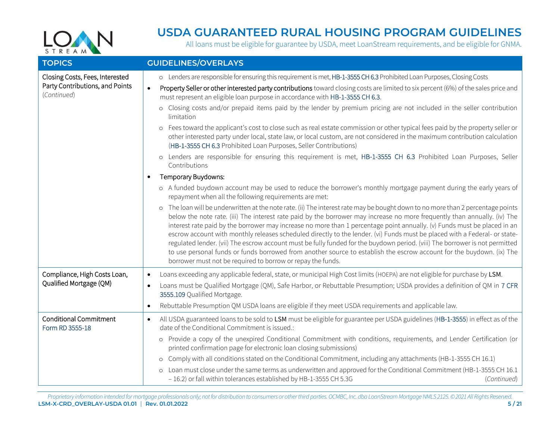

<span id="page-4-1"></span><span id="page-4-0"></span>

| <b>TOPICS</b>                                                                     | <b>GUIDELINES/OVERLAYS</b>                                                                                                                                                                                                                                                                                                                                                                                                                                                                                                                                                                                                                                                                                                                                                                                                                     |
|-----------------------------------------------------------------------------------|------------------------------------------------------------------------------------------------------------------------------------------------------------------------------------------------------------------------------------------------------------------------------------------------------------------------------------------------------------------------------------------------------------------------------------------------------------------------------------------------------------------------------------------------------------------------------------------------------------------------------------------------------------------------------------------------------------------------------------------------------------------------------------------------------------------------------------------------|
| Closing Costs, Fees, Interested<br>Party Contributions, and Points<br>(Continued) | o Lenders are responsible for ensuring this requirement is met, HB-1-3555 CH 6.3 Prohibited Loan Purposes, Closing Costs<br>Property Seller or other interested party contributions toward closing costs are limited to six percent (6%) of the sales price and<br>$\bullet$<br>must represent an eligible loan purpose in accordance with HB-1-3555 CH 6.3.                                                                                                                                                                                                                                                                                                                                                                                                                                                                                   |
|                                                                                   | o Closing costs and/or prepaid items paid by the lender by premium pricing are not included in the seller contribution<br>limitation                                                                                                                                                                                                                                                                                                                                                                                                                                                                                                                                                                                                                                                                                                           |
|                                                                                   | o Fees toward the applicant's cost to close such as real estate commission or other typical fees paid by the property seller or<br>other interested party under local, state law, or local custom, are not considered in the maximum contribution calculation<br>(HB-1-3555 CH 6.3 Prohibited Loan Purposes, Seller Contributions)                                                                                                                                                                                                                                                                                                                                                                                                                                                                                                             |
|                                                                                   | o Lenders are responsible for ensuring this requirement is met, HB-1-3555 CH 6.3 Prohibited Loan Purposes, Seller<br>Contributions                                                                                                                                                                                                                                                                                                                                                                                                                                                                                                                                                                                                                                                                                                             |
|                                                                                   | Temporary Buydowns:                                                                                                                                                                                                                                                                                                                                                                                                                                                                                                                                                                                                                                                                                                                                                                                                                            |
|                                                                                   | o A funded buydown account may be used to reduce the borrower's monthly mortgage payment during the early years of<br>repayment when all the following requirements are met:                                                                                                                                                                                                                                                                                                                                                                                                                                                                                                                                                                                                                                                                   |
|                                                                                   | o The loan will be underwritten at the note rate. (ii) The interest rate may be bought down to no more than 2 percentage points<br>below the note rate. (iii) The interest rate paid by the borrower may increase no more frequently than annually. (iv) The<br>interest rate paid by the borrower may increase no more than 1 percentage point annually. (v) Funds must be placed in an<br>escrow account with monthly releases scheduled directly to the lender. (vi) Funds must be placed with a Federal- or state-<br>regulated lender. (vii) The escrow account must be fully funded for the buydown period. (viii) The borrower is not permitted<br>to use personal funds or funds borrowed from another source to establish the escrow account for the buydown. (ix) The<br>borrower must not be required to borrow or repay the funds. |
| Compliance, High Costs Loan,                                                      | Loans exceeding any applicable federal, state, or municipal High Cost limits (HOEPA) are not eligible for purchase by LSM.<br>$\bullet$                                                                                                                                                                                                                                                                                                                                                                                                                                                                                                                                                                                                                                                                                                        |
| Qualified Mortgage (QM)                                                           | Loans must be Qualified Mortgage (QM), Safe Harbor, or Rebuttable Presumption; USDA provides a definition of QM in 7 CFR<br>$\bullet$<br>3555.109 Qualified Mortgage.                                                                                                                                                                                                                                                                                                                                                                                                                                                                                                                                                                                                                                                                          |
|                                                                                   | Rebuttable Presumption QM USDA loans are eligible if they meet USDA requirements and applicable law.<br>$\bullet$                                                                                                                                                                                                                                                                                                                                                                                                                                                                                                                                                                                                                                                                                                                              |
| <b>Conditional Commitment</b><br>Form RD 3555-18                                  | All USDA guaranteed loans to be sold to LSM must be eligible for guarantee per USDA guidelines (HB-1-3555) in effect as of the<br>$\bullet$<br>date of the Conditional Commitment is issued.:                                                                                                                                                                                                                                                                                                                                                                                                                                                                                                                                                                                                                                                  |
|                                                                                   | o Provide a copy of the unexpired Conditional Commitment with conditions, requirements, and Lender Certification (or<br>printed confirmation page for electronic loan closing submissions)                                                                                                                                                                                                                                                                                                                                                                                                                                                                                                                                                                                                                                                     |
|                                                                                   | o Comply with all conditions stated on the Conditional Commitment, including any attachments (HB-1-3555 CH 16.1)                                                                                                                                                                                                                                                                                                                                                                                                                                                                                                                                                                                                                                                                                                                               |
|                                                                                   | o Loan must close under the same terms as underwritten and approved for the Conditional Commitment (HB-1-3555 CH 16.1<br>- 16.2) or fall within tolerances established by HB-1-3555 CH 5.3G<br>(Continued)                                                                                                                                                                                                                                                                                                                                                                                                                                                                                                                                                                                                                                     |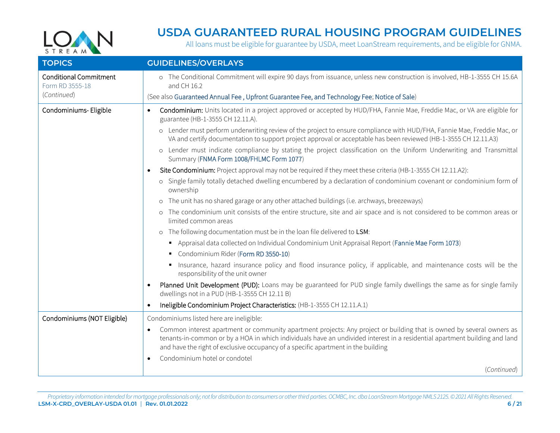

<span id="page-5-0"></span>

| <b>TOPICS</b>                                    | <b>GUIDELINES/OVERLAYS</b>                                                                                                                                                                                                                                                                                                                            |
|--------------------------------------------------|-------------------------------------------------------------------------------------------------------------------------------------------------------------------------------------------------------------------------------------------------------------------------------------------------------------------------------------------------------|
| <b>Conditional Commitment</b><br>Form RD 3555-18 | o The Conditional Commitment will expire 90 days from issuance, unless new construction is involved, HB-1-3555 CH 15.6A<br>and CH 16.2                                                                                                                                                                                                                |
| (Continued)                                      | (See also Guaranteed Annual Fee, Upfront Guarantee Fee, and Technology Fee; Notice of Sale)                                                                                                                                                                                                                                                           |
| Condominiums- Eligible                           | Condominium: Units located in a project approved or accepted by HUD/FHA, Fannie Mae, Freddie Mac, or VA are eligible for<br>$\bullet$<br>guarantee (HB-1-3555 CH 12.11.A).                                                                                                                                                                            |
|                                                  | o Lender must perform underwriting review of the project to ensure compliance with HUD/FHA, Fannie Mae, Freddie Mac, or<br>VA and certify documentation to support project approval or acceptable has been reviewed (HB-1-3555 CH 12.11.A3)                                                                                                           |
|                                                  | o Lender must indicate compliance by stating the project classification on the Uniform Underwriting and Transmittal<br>Summary (FNMA Form 1008/FHLMC Form 1077)                                                                                                                                                                                       |
|                                                  | Site Condominium: Project approval may not be required if they meet these criteria (HB-1-3555 CH 12.11.A2):                                                                                                                                                                                                                                           |
|                                                  | o Single family totally detached dwelling encumbered by a declaration of condominium covenant or condominium form of<br>ownership                                                                                                                                                                                                                     |
|                                                  | o The unit has no shared garage or any other attached buildings (i.e. archways, breezeways)                                                                                                                                                                                                                                                           |
|                                                  | o The condominium unit consists of the entire structure, site and air space and is not considered to be common areas or<br>limited common areas                                                                                                                                                                                                       |
|                                                  | o The following documentation must be in the loan file delivered to LSM:                                                                                                                                                                                                                                                                              |
|                                                  | Appraisal data collected on Individual Condominium Unit Appraisal Report (Fannie Mae Form 1073)                                                                                                                                                                                                                                                       |
|                                                  | Condominium Rider (Form RD 3550-10)                                                                                                                                                                                                                                                                                                                   |
|                                                  | Insurance, hazard insurance policy and flood insurance policy, if applicable, and maintenance costs will be the<br>responsibility of the unit owner                                                                                                                                                                                                   |
|                                                  | Planned Unit Development (PUD): Loans may be guaranteed for PUD single family dwellings the same as for single family<br>dwellings not in a PUD (HB-1-3555 CH 12.11 B)                                                                                                                                                                                |
|                                                  | Ineligible Condominium Project Characteristics: (HB-1-3555 CH 12.11.A.1)                                                                                                                                                                                                                                                                              |
| Condominiums (NOT Eligible)                      | Condominiums listed here are ineligible:                                                                                                                                                                                                                                                                                                              |
|                                                  | Common interest apartment or community apartment projects: Any project or building that is owned by several owners as<br>$\bullet$<br>tenants-in-common or by a HOA in which individuals have an undivided interest in a residential apartment building and land<br>and have the right of exclusive occupancy of a specific apartment in the building |
|                                                  | Condominium hotel or condotel                                                                                                                                                                                                                                                                                                                         |
|                                                  | (Continued)                                                                                                                                                                                                                                                                                                                                           |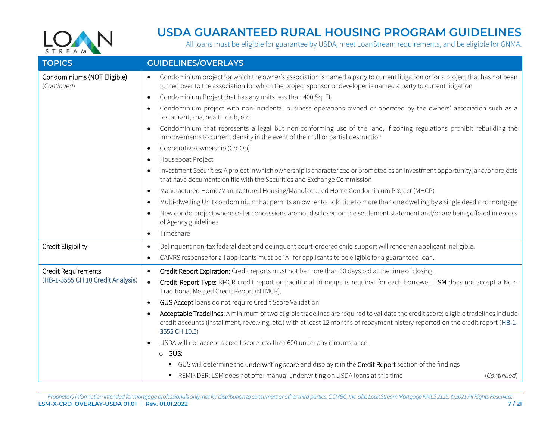

<span id="page-6-0"></span>

| <b>TOPICS</b>                              | <b>GUIDELINES/OVERLAYS</b>                                                                                                                                                                                                                                                              |
|--------------------------------------------|-----------------------------------------------------------------------------------------------------------------------------------------------------------------------------------------------------------------------------------------------------------------------------------------|
| Condominiums (NOT Eligible)<br>(Continued) | Condominium project for which the owner's association is named a party to current litigation or for a project that has not been<br>$\bullet$<br>turned over to the association for which the project sponsor or developer is named a party to current litigation                        |
|                                            | Condominium Project that has any units less than 400 Sq. Ft<br>$\bullet$                                                                                                                                                                                                                |
|                                            | Condominium project with non-incidental business operations owned or operated by the owners' association such as a<br>$\bullet$<br>restaurant, spa, health club, etc.                                                                                                                   |
|                                            | Condominium that represents a legal but non-conforming use of the land, if zoning regulations prohibit rebuilding the<br>improvements to current density in the event of their full or partial destruction                                                                              |
|                                            | Cooperative ownership (Co-Op)<br>$\bullet$                                                                                                                                                                                                                                              |
|                                            | Houseboat Project<br>٠                                                                                                                                                                                                                                                                  |
|                                            | Investment Securities: A project in which ownership is characterized or promoted as an investment opportunity; and/or projects<br>$\bullet$<br>that have documents on file with the Securities and Exchange Commission                                                                  |
|                                            | Manufactured Home/Manufactured Housing/Manufactured Home Condominium Project (MHCP)<br>$\bullet$                                                                                                                                                                                        |
|                                            | Multi-dwelling Unit condominium that permits an owner to hold title to more than one dwelling by a single deed and mortgage<br>$\bullet$                                                                                                                                                |
|                                            | New condo project where seller concessions are not disclosed on the settlement statement and/or are being offered in excess<br>of Agency guidelines                                                                                                                                     |
|                                            | Timeshare<br>$\bullet$                                                                                                                                                                                                                                                                  |
| Credit Eligibility                         | Delinquent non-tax federal debt and delinquent court-ordered child support will render an applicant ineligible.<br>$\bullet$                                                                                                                                                            |
|                                            | CAIVRS response for all applicants must be "A" for applicants to be eligible for a guaranteed loan.<br>$\bullet$                                                                                                                                                                        |
| <b>Credit Requirements</b>                 | Credit Report Expiration: Credit reports must not be more than 60 days old at the time of closing.<br>$\bullet$                                                                                                                                                                         |
| (HB-1-3555 CH 10 Credit Analysis)          | Credit Report Type: RMCR credit report or traditional tri-merge is required for each borrower. LSM does not accept a Non-<br>$\bullet$<br>Traditional Merged Credit Report (NTMCR).                                                                                                     |
|                                            | GUS Accept loans do not require Credit Score Validation<br>$\bullet$                                                                                                                                                                                                                    |
|                                            | Acceptable Tradelines: A minimum of two eligible tradelines are required to validate the credit score; eligible tradelines include<br>credit accounts (installment, revolving, etc.) with at least 12 months of repayment history reported on the credit report (HB-1-<br>3555 CH 10.5) |
|                                            | USDA will not accept a credit score less than 600 under any circumstance.                                                                                                                                                                                                               |
|                                            | o GUS:                                                                                                                                                                                                                                                                                  |
|                                            | • GUS will determine the underwriting score and display it in the Credit Report section of the findings                                                                                                                                                                                 |
|                                            | • REMINDER: LSM does not offer manual underwriting on USDA loans at this time<br>(Continued)                                                                                                                                                                                            |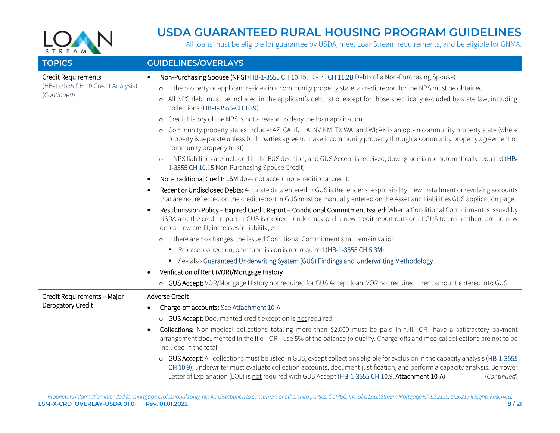

| <b>TOPICS</b>                                                           | <b>GUIDELINES/OVERLAYS</b>                                                                                                                                                                                                                                                                                                                                                                                                                                                                                                                                                                                                                                                                                                                                                                                                                                                                                                                                                                                                                                                                                                                           |
|-------------------------------------------------------------------------|------------------------------------------------------------------------------------------------------------------------------------------------------------------------------------------------------------------------------------------------------------------------------------------------------------------------------------------------------------------------------------------------------------------------------------------------------------------------------------------------------------------------------------------------------------------------------------------------------------------------------------------------------------------------------------------------------------------------------------------------------------------------------------------------------------------------------------------------------------------------------------------------------------------------------------------------------------------------------------------------------------------------------------------------------------------------------------------------------------------------------------------------------|
| Credit Requirements<br>(HB-1-3555 CH 10 Credit Analysis)<br>(Continued) | Non-Purchasing Spouse (NPS) (HB-1-3555 CH 10.15, 10-18, CH 11.2B Debts of a Non-Purchasing Spouse)<br>$\bullet$<br>o If the property or applicant resides in a community property state, a credit report for the NPS must be obtained<br>o All NPS debt must be included in the applicant's debt ratio, except for those specifically excluded by state law, including<br>collections (HB-1-3555-CH 10.9)<br>o Credit history of the NPS is not a reason to deny the loan application<br>o Community property states include: AZ, CA, ID, LA, NV NM, TX WA, and WI; AK is an opt-in community property state (where<br>property is separate unless both parties agree to make it community property through a community property agreement or<br>community property trust)<br>o If NPS liabilities are included in the FUS decision, and GUS Accept is received, downgrade is not automatically required (HB-                                                                                                                                                                                                                                        |
|                                                                         | 1-3555 CH 10.15 Non-Purchasing Spouse Credit)<br>Non-traditional Credit: LSM does not accept non-traditional credit.<br>$\bullet$<br>Recent or Undisclosed Debts: Accurate data entered in GUS is the lender's responsibility; new installment or revolving accounts<br>that are not reflected on the credit report in GUS must be manually entered on the Asset and Liabilities GUS application page.<br>Resubmission Policy - Expired Credit Report - Conditional Commitment Issued: When a Conditional Commitment is issued by<br>USDA and the credit report in GUS is expired, lender may pull a new credit report outside of GUS to ensure there are no new<br>debts, new credit, increases in liability, etc.<br>o If there are no changes, the issued Conditional Commitment shall remain valid:<br>Release, correction, or resubmission is not required (HB-1-3555 CH 5.3M)<br>• See also Guaranteed Underwriting System (GUS) Findings and Underwriting Methodology<br>Verification of Rent (VOR)/Mortgage History<br>o GUS Accept: VOR/Mortgage History not required for GUS Accept loan; VOR not required if rent amount entered into GUS |
| Credit Requirements - Major<br>Derogatory Credit                        | Adverse Credit<br>Charge-off accounts: See Attachment 10-A<br>o GUS Accept: Documented credit exception is not required.<br>Collections: Non-medical collections totaling more than \$2,000 must be paid in full—OR—have a satisfactory payment<br>arrangement documented in the file-OR-use 5% of the balance to qualify. Charge-offs and medical collections are not to be<br>included in the total.<br>o GUS Accept: All collections must be listed in GUS, except collections eligible for exclusion in the capacity analysis (HB-1-3555<br>CH 10.9); underwriter must evaluate collection accounts, document justification, and perform a capacity analysis. Borrower<br>Letter of Explanation (LOE) is not required with GUS Accept (HB-1-3555 CH 10.9, Attachment 10-A)<br>(Continued)                                                                                                                                                                                                                                                                                                                                                        |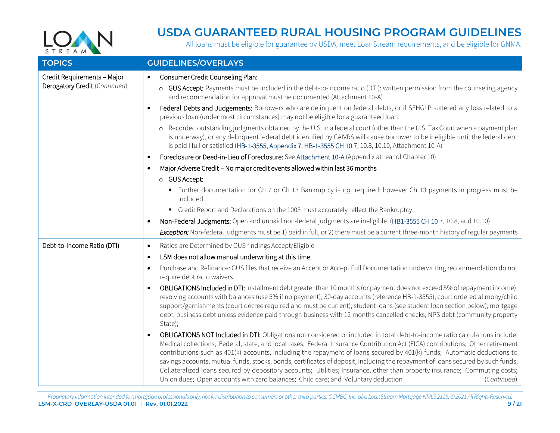

| <b>TOPICS</b>                                                | <b>GUIDELINES/OVERLAYS</b>                                                                                                                                                                                                                                                                                                                                                                                                                                                                                                                                                                                                                                                                                                                                      |
|--------------------------------------------------------------|-----------------------------------------------------------------------------------------------------------------------------------------------------------------------------------------------------------------------------------------------------------------------------------------------------------------------------------------------------------------------------------------------------------------------------------------------------------------------------------------------------------------------------------------------------------------------------------------------------------------------------------------------------------------------------------------------------------------------------------------------------------------|
| Credit Requirements - Major<br>Derogatory Credit (Continued) | Consumer Credit Counseling Plan:<br>$\bullet$<br>o GUS Accept: Payments must be included in the debt-to-income ratio (DTI); written permission from the counseling agency<br>and recommendation for approval must be documented (Attachment 10-A)                                                                                                                                                                                                                                                                                                                                                                                                                                                                                                               |
|                                                              | Federal Debts and Judgements: Borrowers who are delinquent on federal debts, or if SFHGLP suffered any loss related to a<br>$\bullet$<br>previous loan (under most circumstances) may not be eligible for a guaranteed loan.                                                                                                                                                                                                                                                                                                                                                                                                                                                                                                                                    |
|                                                              | o Recorded outstanding judgments obtained by the U.S. in a federal court (other than the U.S. Tax Court when a payment plan<br>is underway), or any delinguent federal debt identified by CAIVRS will cause borrower to be ineligible until the federal debt<br>is paid I full or satisfied (HB-1-3555, Appendix 7, HB-1-3555 CH 10.7, 10.8, 10.10, Attachment 10-A)                                                                                                                                                                                                                                                                                                                                                                                            |
|                                                              | Foreclosure or Deed-in-Lieu of Foreclosure: See Attachment 10-A (Appendix at rear of Chapter 10)<br>$\bullet$                                                                                                                                                                                                                                                                                                                                                                                                                                                                                                                                                                                                                                                   |
|                                                              | Major Adverse Credit - No major credit events allowed within last 36 months                                                                                                                                                                                                                                                                                                                                                                                                                                                                                                                                                                                                                                                                                     |
|                                                              | o GUS Accept:                                                                                                                                                                                                                                                                                                                                                                                                                                                                                                                                                                                                                                                                                                                                                   |
|                                                              | • Further documentation for Ch 7 or Ch 13 Bankruptcy is not required; however Ch 13 payments in progress must be<br>included                                                                                                                                                                                                                                                                                                                                                                                                                                                                                                                                                                                                                                    |
|                                                              | • Credit Report and Declarations on the 1003 must accurately reflect the Bankruptcy                                                                                                                                                                                                                                                                                                                                                                                                                                                                                                                                                                                                                                                                             |
|                                                              | Non-Federal Judgments: Open and unpaid non-federal judgments are ineligible. (HB1-3555 CH 10.7, 10.8, and 10.10)<br>$\bullet$                                                                                                                                                                                                                                                                                                                                                                                                                                                                                                                                                                                                                                   |
|                                                              | Exception: Non-federal judgments must be 1) paid in full, or 2) there must be a current three-month history of regular payments                                                                                                                                                                                                                                                                                                                                                                                                                                                                                                                                                                                                                                 |
| Debt-to-Income Ratio (DTI)                                   | Ratios are Determined by GUS findings Accept/Eligible<br>$\bullet$                                                                                                                                                                                                                                                                                                                                                                                                                                                                                                                                                                                                                                                                                              |
|                                                              | LSM does not allow manual underwriting at this time.<br>$\bullet$                                                                                                                                                                                                                                                                                                                                                                                                                                                                                                                                                                                                                                                                                               |
|                                                              | Purchase and Refinance: GUS files that receive an Accept or Accept Full Documentation underwriting recommendation do not<br>$\bullet$<br>require debt ratio waivers.                                                                                                                                                                                                                                                                                                                                                                                                                                                                                                                                                                                            |
|                                                              | OBLIGATIONS Included in DTI: Installment debt greater than 10 months (or payment does not exceed 5% of repayment income);<br>revolving accounts with balances (use 5% if no payment); 30-day accounts (reference HB-1-3555); court ordered alimony/child<br>support/garnishments (court decree required and must be current); student loans (see student loan section below); mortgage<br>debt, business debt unless evidence paid through business with 12 months cancelled checks; NPS debt (community property<br>State);                                                                                                                                                                                                                                    |
|                                                              | OBLIGATIONS NOT Included in DTI: Obligations not considered or included in total debt-to-income ratio calculations include:<br>Medical collections; Federal, state, and local taxes; Federal Insurance Contribution Act (FICA) contributions; Other retirement<br>contributions such as 401(k) accounts, including the repayment of loans secured by 401(k) funds; Automatic deductions to<br>savings accounts, mutual funds, stocks, bonds, certificates of deposit, including the repayment of loans secured by such funds;<br>Collateralized loans secured by depository accounts; Utilities; Insurance, other than property insurance; Commuting costs;<br>Union dues; Open accounts with zero balances; Child care; and Voluntary deduction<br>(Continued) |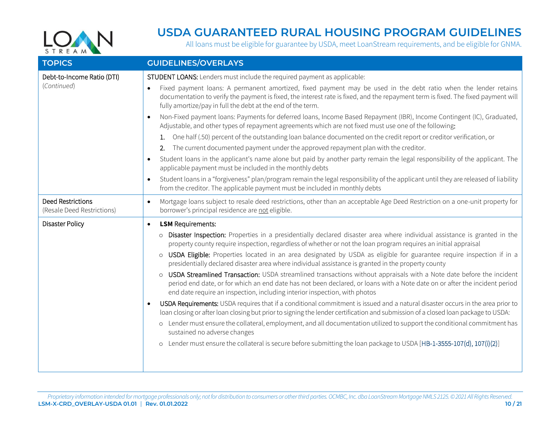

| <b>TOPICS</b>                                          | <b>GUIDELINES/OVERLAYS</b>                                                                                                                                                                                                                                                                                                        |
|--------------------------------------------------------|-----------------------------------------------------------------------------------------------------------------------------------------------------------------------------------------------------------------------------------------------------------------------------------------------------------------------------------|
| Debt-to-Income Ratio (DTI)                             | STUDENT LOANS: Lenders must include the required payment as applicable:                                                                                                                                                                                                                                                           |
| (Continued)                                            | Fixed payment loans: A permanent amortized, fixed payment may be used in the debt ratio when the lender retains<br>$\bullet$<br>documentation to verify the payment is fixed, the interest rate is fixed, and the repayment term is fixed. The fixed payment will<br>fully amortize/pay in full the debt at the end of the term.  |
|                                                        | Non-Fixed payment loans: Payments for deferred loans, Income Based Repayment (IBR), Income Contingent (IC), Graduated,<br>Adjustable, and other types of repayment agreements which are not fixed must use one of the following:                                                                                                  |
|                                                        | 1. One half (.50) percent of the outstanding loan balance documented on the credit report or creditor verification, or                                                                                                                                                                                                            |
|                                                        | 2. The current documented payment under the approved repayment plan with the creditor.                                                                                                                                                                                                                                            |
|                                                        | Student loans in the applicant's name alone but paid by another party remain the legal responsibility of the applicant. The<br>$\bullet$<br>applicable payment must be included in the monthly debts                                                                                                                              |
|                                                        | Student loans in a "forgiveness" plan/program remain the legal responsibility of the applicant until they are released of liability<br>from the creditor. The applicable payment must be included in monthly debts                                                                                                                |
| <b>Deed Restrictions</b><br>(Resale Deed Restrictions) | Mortgage loans subject to resale deed restrictions, other than an acceptable Age Deed Restriction on a one-unit property for<br>$\bullet$<br>borrower's principal residence are not eligible.                                                                                                                                     |
| Disaster Policy                                        | <b>LSM</b> Requirements:<br>$\bullet$                                                                                                                                                                                                                                                                                             |
|                                                        | o Disaster Inspection: Properties in a presidentially declared disaster area where individual assistance is granted in the<br>property county require inspection, regardless of whether or not the loan program requires an initial appraisal                                                                                     |
|                                                        | o USDA Eligible: Properties located in an area designated by USDA as eligible for guarantee require inspection if in a<br>presidentially declared disaster area where individual assistance is granted in the property county                                                                                                     |
|                                                        | o USDA Streamlined Transaction: USDA streamlined transactions without appraisals with a Note date before the incident<br>period end date, or for which an end date has not been declared, or loans with a Note date on or after the incident period<br>end date require an inspection, including interior inspection, with photos |
|                                                        | USDA Requirements: USDA requires that if a conditional commitment is issued and a natural disaster occurs in the area prior to<br>loan closing or after loan closing but prior to signing the lender certification and submission of a closed loan package to USDA:                                                               |
|                                                        | o Lender must ensure the collateral, employment, and all documentation utilized to support the conditional commitment has<br>sustained no adverse changes                                                                                                                                                                         |
|                                                        | o Lender must ensure the collateral is secure before submitting the loan package to USDA [HB-1-3555-107(d), 107(i)(2)]                                                                                                                                                                                                            |
|                                                        |                                                                                                                                                                                                                                                                                                                                   |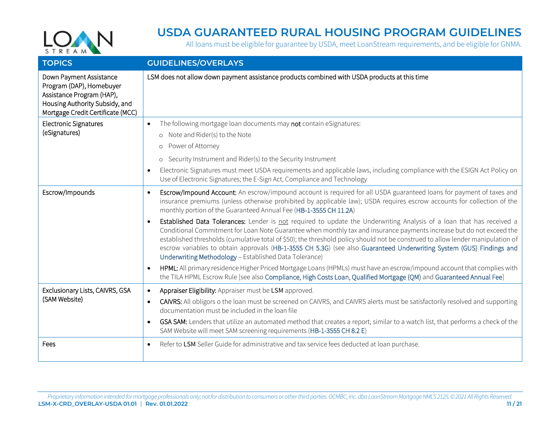

<span id="page-10-1"></span><span id="page-10-0"></span>

| <b>TOPICS</b>                                                                                                                                           | <b>GUIDELINES/OVERLAYS</b>                                                                                                                                                                                                                                                                                                                                                                                                                                                                                                                                                                                                                                                                                                                                                                                                                                                                                                                                                                                                                                                                                                                    |
|---------------------------------------------------------------------------------------------------------------------------------------------------------|-----------------------------------------------------------------------------------------------------------------------------------------------------------------------------------------------------------------------------------------------------------------------------------------------------------------------------------------------------------------------------------------------------------------------------------------------------------------------------------------------------------------------------------------------------------------------------------------------------------------------------------------------------------------------------------------------------------------------------------------------------------------------------------------------------------------------------------------------------------------------------------------------------------------------------------------------------------------------------------------------------------------------------------------------------------------------------------------------------------------------------------------------|
| Down Payment Assistance<br>Program (DAP), Homebuyer<br>Assistance Program (HAP),<br>Housing Authority Subsidy, and<br>Mortgage Credit Certificate (MCC) | LSM does not allow down payment assistance products combined with USDA products at this time                                                                                                                                                                                                                                                                                                                                                                                                                                                                                                                                                                                                                                                                                                                                                                                                                                                                                                                                                                                                                                                  |
| <b>Electronic Signatures</b><br>(eSignatures)                                                                                                           | The following mortgage loan documents may not contain eSignatures:<br>$\bullet$<br>o Note and Rider(s) to the Note<br>o Power of Attorney<br>o Security Instrument and Rider(s) to the Security Instrument<br>Electronic Signatures must meet USDA requirements and applicable laws, including compliance with the ESIGN Act Policy on<br>$\bullet$<br>Use of Electronic Signatures; the E-Sign Act, Compliance and Technology                                                                                                                                                                                                                                                                                                                                                                                                                                                                                                                                                                                                                                                                                                                |
| Escrow/Impounds                                                                                                                                         | Escrow/Impound Account: An escrow/impound account is required for all USDA guaranteed loans for payment of taxes and<br>insurance premiums (unless otherwise prohibited by applicable law); USDA requires escrow accounts for collection of the<br>monthly portion of the Guaranteed Annual Fee (HB-1-3555 CH 11.2A)<br>Established Data Tolerances: Lender is not required to update the Underwriting Analysis of a loan that has received a<br>Conditional Commitment for Loan Note Guarantee when monthly tax and insurance payments increase but do not exceed the<br>established thresholds (cumulative total of \$50); the threshold policy should not be construed to allow lender manipulation of<br>escrow variables to obtain approvals (HB-1-3555 CH 5.3G) (see also Guaranteed Underwriting System (GUS) Findings and<br>Underwriting Methodology - Established Data Tolerance)<br>HPML: All primary residence Higher Priced Mortgage Loans (HPMLs) must have an escrow/impound account that complies with<br>the TILA HPML Escrow Rule [see also Compliance, High Costs Loan, Qualified Mortgage (QM) and Guaranteed Annual Fee] |
| Exclusionary Lists, CAIVRS, GSA<br>(SAM Website)                                                                                                        | Appraiser Eligibility: Appraiser must be LSM approved.<br>CAIVRS: All obligors o the loan must be screened on CAIVRS, and CAIVRS alerts must be satisfactorily resolved and supporting<br>$\bullet$<br>documentation must be included in the loan file<br>GSA SAM: Lenders that utilize an automated method that creates a report, similar to a watch list, that performs a check of the<br>SAM Website will meet SAM screening requirements (HB-1-3555 CH 8.2 E)                                                                                                                                                                                                                                                                                                                                                                                                                                                                                                                                                                                                                                                                             |
| Fees                                                                                                                                                    | Refer to LSM Seller Guide for administrative and tax service fees deducted at loan purchase.<br>$\bullet$                                                                                                                                                                                                                                                                                                                                                                                                                                                                                                                                                                                                                                                                                                                                                                                                                                                                                                                                                                                                                                     |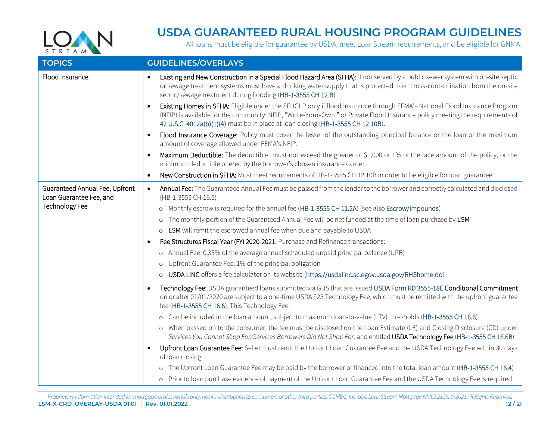

<span id="page-11-0"></span>

| <b>TOPICS</b>                                             | <b>GUIDELINES/OVERLAYS</b>                                                                                                                                                                                                                                                                                                                    |
|-----------------------------------------------------------|-----------------------------------------------------------------------------------------------------------------------------------------------------------------------------------------------------------------------------------------------------------------------------------------------------------------------------------------------|
| Flood Insurance                                           | Existing and New Construction in a Special Flood Hazard Area (SFHA): If not served by a public sewer system with on-site septic<br>$\bullet$<br>or sewage treatment systems must have a drinking water supply that is protected from cross-contamination from the on-site<br>septic/sewage treatment during flooding (HB-1-3555 CH 12.B)      |
|                                                           | Existing Homes in SFHA: Eligible under the SFHGLP only if flood insurance through FEMA's National Flood Insurance Program<br>(NFIP) is available for the community; NFIP, "Write-Your-Own," or Private Flood Insurance policy meeting the requirements of<br>42 U.S.C. 4012a(b)(1)(A) must be in place at loan closing (HB-1-3555 CH 12.10B). |
|                                                           | Flood Insurance Coverage: Policy must cover the lesser of the outstanding principal balance or the loan or the maximum<br>amount of coverage allowed under FEMA's NFIP.                                                                                                                                                                       |
|                                                           | Maximum Deductible: The deductible must not exceed the greater of \$1,000 or 1% of the face amount of the policy, or the<br>minimum deductible offered by the borrower's chosen insurance carrier.                                                                                                                                            |
|                                                           | New Construction in SFHA: Must meet requirements of HB-1-3555 CH 12.10B in order to be eligible for loan guarantee.<br>$\bullet$                                                                                                                                                                                                              |
| Guaranteed Annual Fee, Upfront<br>Loan Guarantee Fee, and | Annual Fee: The Guaranteed Annual Fee must be passed from the lender to the borrower and correctly calculated and disclosed<br>$\bullet$<br>(HB-1-3555 CH 16.5)                                                                                                                                                                               |
| <b>Technology Fee</b>                                     | o Monthly escrow is required for the annual fee (HB-1-3555 CH 11.2A) (see also Escrow/Impounds)                                                                                                                                                                                                                                               |
|                                                           | o The monthly portion of the Guaranteed Annual Fee will be net funded at the time of loan purchase by LSM                                                                                                                                                                                                                                     |
|                                                           | o LSM will remit the escrowed annual fee when due and payable to USDA                                                                                                                                                                                                                                                                         |
|                                                           | Fee Structures Fiscal Year (FY) 2020-2021: Purchase and Refinance transactions:                                                                                                                                                                                                                                                               |
|                                                           | o Annual Fee: 0.35% of the average annual scheduled unpaid principal balance (UPB)                                                                                                                                                                                                                                                            |
|                                                           | o Upfront Guarantee Fee: 1% of the principal obligation                                                                                                                                                                                                                                                                                       |
|                                                           | o USDA LINC offers a fee calculator on its website (https://usdalinc.sc.egov.usda.gov/RHShome.do)                                                                                                                                                                                                                                             |
|                                                           | Technology Fee: USDA guaranteed loans submitted via GUS that are issued USDA Form RD 3555-18E Conditional Commitment<br>on or after 01/01/2020 are subject to a one-time USDA \$25 Technology Fee, which must be remitted with the upfront guarantee<br>fee (HB-1-3555 CH 16.6). This Technology Fee:                                         |
|                                                           | o Can be included in the loan amount, subject to maximum loan-to-value (LTV) thresholds (HB-1-3555 CH 16.6)                                                                                                                                                                                                                                   |
|                                                           | o When passed on to the consumer, the fee must be disclosed on the Loan Estimate (LE) and Closing Disclosure (CD) under<br>Services You Cannot Shop For/Services Borrowers Did Not Shop For, and entitled USDA Technology Fee (HB-1-3555 CH 16.6B)                                                                                            |
|                                                           | Upfront Loan Guarantee Fee: Seller must remit the Upfront Loan Guarantee Fee and the USDA Technology Fee within 30 days<br>of loan closing.                                                                                                                                                                                                   |
|                                                           | o The Upfront Loan Guarantee Fee may be paid by the borrower or financed into the total loan amount (HB-1-3555 CH 16.4)                                                                                                                                                                                                                       |
|                                                           | o Prior to loan purchase evidence of payment of the Upfront Loan Guarantee Fee and the USDA Technology Fee is required                                                                                                                                                                                                                        |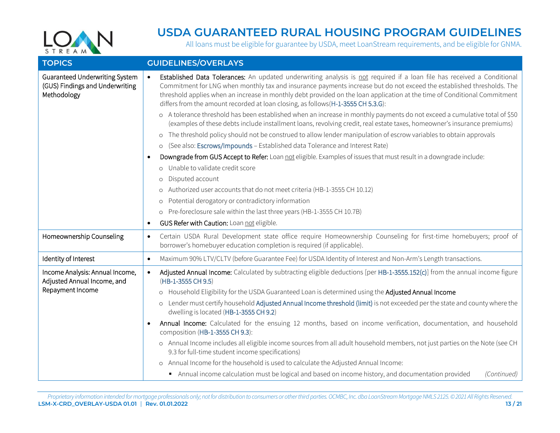

<span id="page-12-0"></span>

| <b>TOPICS</b>                                                                      | <b>GUIDELINES/OVERLAYS</b>                                                                                                                                                                                                                                                                                                                                                                                                                                                      |
|------------------------------------------------------------------------------------|---------------------------------------------------------------------------------------------------------------------------------------------------------------------------------------------------------------------------------------------------------------------------------------------------------------------------------------------------------------------------------------------------------------------------------------------------------------------------------|
| Guaranteed Underwriting System<br>(GUS) Findings and Underwriting<br>Methodology   | Established Data Tolerances: An updated underwriting analysis is not required if a loan file has received a Conditional<br>$\bullet$<br>Commitment for LNG when monthly tax and insurance payments increase but do not exceed the established thresholds. The<br>threshold applies when an increase in monthly debt provided on the loan application at the time of Conditional Commitment<br>differs from the amount recorded at loan closing, as follows (H-1-3555 CH 5.3.G): |
|                                                                                    | o A tolerance threshold has been established when an increase in monthly payments do not exceed a cumulative total of \$50<br>(examples of these debts include installment loans, revolving credit, real estate taxes, homeowner's insurance premiums)                                                                                                                                                                                                                          |
|                                                                                    | o The threshold policy should not be construed to allow lender manipulation of escrow variables to obtain approvals                                                                                                                                                                                                                                                                                                                                                             |
|                                                                                    | (See also: Escrows/Impounds - Established data Tolerance and Interest Rate)<br>$\circ$                                                                                                                                                                                                                                                                                                                                                                                          |
|                                                                                    | Downgrade from GUS Accept to Refer: Loan not eligible. Examples of issues that must result in a downgrade include:<br>$\bullet$                                                                                                                                                                                                                                                                                                                                                 |
|                                                                                    | o Unable to validate credit score                                                                                                                                                                                                                                                                                                                                                                                                                                               |
|                                                                                    | Disputed account<br>$\circ$                                                                                                                                                                                                                                                                                                                                                                                                                                                     |
|                                                                                    | o Authorized user accounts that do not meet criteria (HB-1-3555 CH 10.12)                                                                                                                                                                                                                                                                                                                                                                                                       |
|                                                                                    | Potential derogatory or contradictory information<br>$\circ$                                                                                                                                                                                                                                                                                                                                                                                                                    |
|                                                                                    | o Pre-foreclosure sale within the last three years (HB-1-3555 CH 10.7B)                                                                                                                                                                                                                                                                                                                                                                                                         |
|                                                                                    | GUS Refer with Caution: Loan not eligible.<br>$\bullet$                                                                                                                                                                                                                                                                                                                                                                                                                         |
| Homeownership Counseling                                                           | Certain USDA Rural Development state office require Homeownership Counseling for first-time homebuyers; proof of<br>$\bullet$<br>borrower's homebuyer education completion is required (if applicable).                                                                                                                                                                                                                                                                         |
| Identity of Interest                                                               | Maximum 90% LTV/CLTV (before Guarantee Fee) for USDA Identity of Interest and Non-Arm's Length transactions.<br>$\bullet$                                                                                                                                                                                                                                                                                                                                                       |
| Income Analysis: Annual Income,<br>Adjusted Annual Income, and<br>Repayment Income | Adjusted Annual Income: Calculated by subtracting eligible deductions [per HB-1-3555.152(c)] from the annual income figure<br>$\bullet$<br>(HB-1-3555 CH 9.5)                                                                                                                                                                                                                                                                                                                   |
|                                                                                    | o Household Eligibility for the USDA Guaranteed Loan is determined using the Adjusted Annual Income                                                                                                                                                                                                                                                                                                                                                                             |
|                                                                                    | o Lender must certify household Adjusted Annual Income threshold (limit) is not exceeded per the state and county where the<br>dwelling is located (HB-1-3555 CH 9.2)                                                                                                                                                                                                                                                                                                           |
|                                                                                    | Annual Income: Calculated for the ensuing 12 months, based on income verification, documentation, and household<br>$\bullet$<br>composition (HB-1-3555 CH 9.3):                                                                                                                                                                                                                                                                                                                 |
|                                                                                    | o Annual Income includes all eligible income sources from all adult household members, not just parties on the Note (see CH<br>9.3 for full-time student income specifications)                                                                                                                                                                                                                                                                                                 |
|                                                                                    | o Annual Income for the household is used to calculate the Adjusted Annual Income:                                                                                                                                                                                                                                                                                                                                                                                              |
|                                                                                    | Annual income calculation must be logical and based on income history, and documentation provided<br>(Continued)                                                                                                                                                                                                                                                                                                                                                                |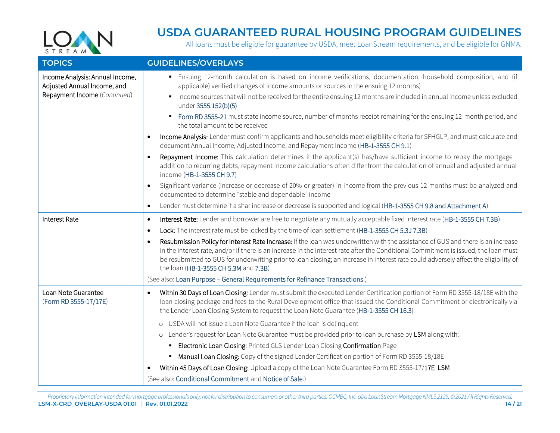

<span id="page-13-0"></span>

| <b>TOPICS</b>                                                                                  | <b>GUIDELINES/OVERLAYS</b>                                                                                                                                                                                                                                                                                                                                                                                                                                            |
|------------------------------------------------------------------------------------------------|-----------------------------------------------------------------------------------------------------------------------------------------------------------------------------------------------------------------------------------------------------------------------------------------------------------------------------------------------------------------------------------------------------------------------------------------------------------------------|
| Income Analysis: Annual Income,<br>Adjusted Annual Income, and<br>Repayment Income (Continued) | Ensuing 12-month calculation is based on income verifications, documentation, household composition, and (if<br>applicable) verified changes of income amounts or sources in the ensuing 12 months)                                                                                                                                                                                                                                                                   |
|                                                                                                | Income sources that will not be received for the entire ensuing 12 months are included in annual income unless excluded<br>under 3555.152(b)(5)                                                                                                                                                                                                                                                                                                                       |
|                                                                                                | Form RD 3555-21 must state income source, number of months receipt remaining for the ensuing 12-month period, and<br>$\blacksquare$<br>the total amount to be received                                                                                                                                                                                                                                                                                                |
|                                                                                                | Income Analysis: Lender must confirm applicants and households meet eligibility criteria for SFHGLP, and must calculate and<br>document Annual Income, Adjusted Income, and Repayment Income (HB-1-3555 CH 9.1)                                                                                                                                                                                                                                                       |
|                                                                                                | Repayment Income: This calculation determines if the applicant(s) has/have sufficient income to repay the mortgage I<br>addition to recurring debts; repayment income calculations often differ from the calculation of annual and adjusted annual<br>income (HB-1-3555 CH 9.7)                                                                                                                                                                                       |
|                                                                                                | Significant variance (increase or decrease of 20% or greater) in income from the previous 12 months must be analyzed and<br>$\bullet$<br>documented to determine "stable and dependable" income                                                                                                                                                                                                                                                                       |
|                                                                                                | Lender must determine if a shar increase or decrease is supported and logical (HB-1-3555 CH 9.8 and Attachment A)<br>$\bullet$                                                                                                                                                                                                                                                                                                                                        |
| <b>Interest Rate</b>                                                                           | Interest Rate: Lender and borrower are free to negotiate any mutually acceptable fixed interest rate (HB-1-3555 CH 7.3B).<br>٠                                                                                                                                                                                                                                                                                                                                        |
|                                                                                                | Lock: The interest rate must be locked by the time of loan settlement (HB-1-3555 CH 5.3J 7.3B)<br>$\bullet$                                                                                                                                                                                                                                                                                                                                                           |
|                                                                                                | Resubmission Policy for Interest Rate Increase: If the loan was underwritten with the assistance of GUS and there is an increase<br>$\bullet$<br>in the interest rate, and/or if there is an increase in the interest rate after the Conditional Commitment is issued, the loan must<br>be resubmitted to GUS for underwriting prior to loan closing; an increase in interest rate could adversely affect the eligibility of<br>the loan (HB-1-3555 CH 5.3M and 7.3B) |
|                                                                                                | (See also: Loan Purpose - General Requirements for Refinance Transactions.)                                                                                                                                                                                                                                                                                                                                                                                           |
| Loan Note Guarantee<br>(Form RD 3555-17/17E)                                                   | Within 30 Days of Loan Closing: Lender must submit the executed Lender Certification portion of Form RD 3555-18/18E with the<br>loan closing package and fees to the Rural Development office that issued the Conditional Commitment or electronically via<br>the Lender Loan Closing System to request the Loan Note Guarantee (HB-1-3555 CH 16.3)                                                                                                                   |
|                                                                                                | o USDA will not issue a Loan Note Guarantee if the loan is delinquent                                                                                                                                                                                                                                                                                                                                                                                                 |
|                                                                                                | o Lender's request for Loan Note Guarantee must be provided prior to loan purchase by LSM along with:                                                                                                                                                                                                                                                                                                                                                                 |
|                                                                                                | Electronic Loan Closing: Printed GLS Lender Loan Closing Confirmation Page                                                                                                                                                                                                                                                                                                                                                                                            |
|                                                                                                | Manual Loan Closing: Copy of the signed Lender Certification portion of Form RD 3555-18/18E<br>٠                                                                                                                                                                                                                                                                                                                                                                      |
|                                                                                                | Within 45 Days of Loan Closing: Upload a copy of the Loan Note Guarantee Form RD 3555-17/17E LSM                                                                                                                                                                                                                                                                                                                                                                      |
|                                                                                                | (See also: Conditional Commitment and Notice of Sale.)                                                                                                                                                                                                                                                                                                                                                                                                                |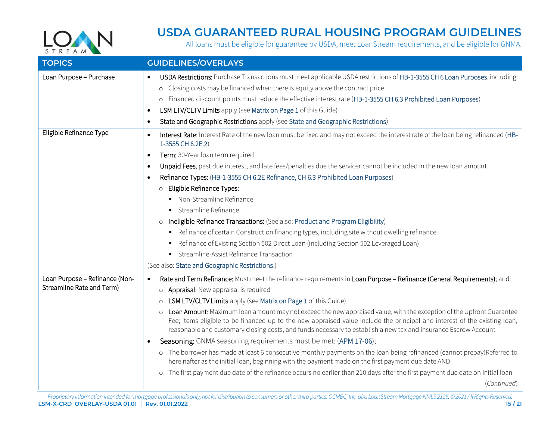

<span id="page-14-0"></span>

| <b>TOPICS</b>                                               | <b>GUIDELINES/OVERLAYS</b>                                                                                                                                                                                                                                                                                                                                                                                                 |
|-------------------------------------------------------------|----------------------------------------------------------------------------------------------------------------------------------------------------------------------------------------------------------------------------------------------------------------------------------------------------------------------------------------------------------------------------------------------------------------------------|
| Loan Purpose - Purchase                                     | USDA Restrictions: Purchase Transactions must meet applicable USDA restrictions of HB-1-3555 CH 6 Loan Purposes, including:<br>$\bullet$<br>o Closing costs may be financed when there is equity above the contract price<br>o Financed discount points must reduce the effective interest rate (HB-1-3555 CH 6.3 Prohibited Loan Purposes)<br>LSM LTV/CLTV Limits apply (see Matrix on Page 1 of this Guide)<br>$\bullet$ |
|                                                             | State and Geographic Restrictions apply (see State and Geographic Restrictions)<br>$\bullet$                                                                                                                                                                                                                                                                                                                               |
| Eligible Refinance Type                                     | Interest Rate: Interest Rate of the new loan must be fixed and may not exceed the interest rate of the loan being refinanced (HB-<br>$\bullet$<br>1-3555 CH 6.2E.2)<br>Term: 30-Year loan term required                                                                                                                                                                                                                    |
|                                                             | $\bullet$<br>Unpaid Fees, past due interest, and late fees/penalties due the servicer cannot be included in the new loan amount<br>$\bullet$                                                                                                                                                                                                                                                                               |
|                                                             | Refinance Types: (HB-1-3555 CH 6.2E Refinance, CH 6.3 Prohibited Loan Purposes)                                                                                                                                                                                                                                                                                                                                            |
|                                                             | O Eligible Refinance Types:                                                                                                                                                                                                                                                                                                                                                                                                |
|                                                             | • Non-Streamline Refinance                                                                                                                                                                                                                                                                                                                                                                                                 |
|                                                             | • Streamline Refinance                                                                                                                                                                                                                                                                                                                                                                                                     |
|                                                             | o Ineligible Refinance Transactions: (See also: Product and Program Eligibility)                                                                                                                                                                                                                                                                                                                                           |
|                                                             | Refinance of certain Construction financing types, including site without dwelling refinance                                                                                                                                                                                                                                                                                                                               |
|                                                             | Refinance of Existing Section 502 Direct Loan (including Section 502 Leveraged Loan)                                                                                                                                                                                                                                                                                                                                       |
|                                                             | Streamline-Assist Refinance Transaction<br>٠                                                                                                                                                                                                                                                                                                                                                                               |
|                                                             | (See also: State and Geographic Restrictions.)                                                                                                                                                                                                                                                                                                                                                                             |
| Loan Purpose - Refinance (Non-<br>Streamline Rate and Term) | Rate and Term Refinance: Must meet the refinance requirements in Loan Purpose - Refinance (General Requirements); and:<br>o Appraisal: New appraisal is required                                                                                                                                                                                                                                                           |
|                                                             | o LSM LTV/CLTV Limits apply (see Matrix on Page 1 of this Guide)                                                                                                                                                                                                                                                                                                                                                           |
|                                                             | o Loan Amount: Maximum loan amount may not exceed the new appraised value, with the exception of the Upfront Guarantee<br>Fee; items eligible to be financed up to the new appraised value include the principal and interest of the existing loan,<br>reasonable and customary closing costs, and funds necessary to establish a new tax and insurance Escrow Account                                                     |
|                                                             | Seasoning: GNMA seasoning requirements must be met: (APM 17-06);                                                                                                                                                                                                                                                                                                                                                           |
|                                                             | o The borrower has made at least 6 consecutive monthly payments on the loan being refinanced (cannot prepay)Referred to<br>hereinafter as the initial loan, beginning with the payment made on the first payment due date AND                                                                                                                                                                                              |
|                                                             | o The first payment due date of the refinance occurs no earlier than 210 days after the first payment due date on Initial loan                                                                                                                                                                                                                                                                                             |
|                                                             | (Continued)                                                                                                                                                                                                                                                                                                                                                                                                                |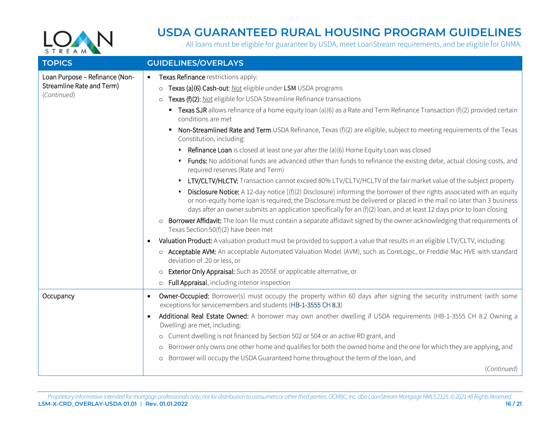

<span id="page-15-0"></span>

| <b>TOPICS</b>                                                              | <b>GUIDELINES/OVERLAYS</b>                                                                                                                                                                                                                                                                                                                                                                                                                                                                                                                                                                                                                                                                                                                                                                                                                                                                                                                                                                                                                                                                                                                                                                                                                                                                                                                                                                                                                                                                                                                                                                                                                                                                                                                                                                                                                                                      |
|----------------------------------------------------------------------------|---------------------------------------------------------------------------------------------------------------------------------------------------------------------------------------------------------------------------------------------------------------------------------------------------------------------------------------------------------------------------------------------------------------------------------------------------------------------------------------------------------------------------------------------------------------------------------------------------------------------------------------------------------------------------------------------------------------------------------------------------------------------------------------------------------------------------------------------------------------------------------------------------------------------------------------------------------------------------------------------------------------------------------------------------------------------------------------------------------------------------------------------------------------------------------------------------------------------------------------------------------------------------------------------------------------------------------------------------------------------------------------------------------------------------------------------------------------------------------------------------------------------------------------------------------------------------------------------------------------------------------------------------------------------------------------------------------------------------------------------------------------------------------------------------------------------------------------------------------------------------------|
| Loan Purpose - Refinance (Non-<br>Streamline Rate and Term)<br>(Continued) | Texas Refinance restrictions apply:<br>$\bullet$<br>o Texas (a)(6) Cash-out: Not eligible under LSM USDA programs<br>o Texas (f)(2): Not eligible for USDA Streamline Refinance transactions<br><b>Texas SJR</b> allows refinance of a home equity loan (a)(6) as a Rate and Term Refinance Transaction (f)(2) provided certain<br>conditions are met<br>Non-Streamlined Rate and Term USDA Refinance, Texas (f)(2) are eligible, subject to meeting requirements of the Texas<br>$\blacksquare$<br>Constitution, including:<br>Refinance Loan is closed at least one yar after the (a)(6) Home Equity Loan was closed<br>Funds: No additional funds are advanced other than funds to refinance the existing debe, actual closing costs, and<br>required reserves (Rate and Term)<br>LTV/CLTV/HLCTV: Transaction cannot exceed 80% LTV/CLTV/HCLTV of the fair market value of the subject property<br>Disclosure Notice: A 12-day notice $[(f)(2)$ Disclosure] informing the borrower of their rights associated with an equity<br>or non-equity home loan is required; the Disclosure must be delivered or placed in the mail no later than 3 business<br>days after an owner submits an application specifically for an $(f)(2)$ loan, and at least 12 days prior to loan closing<br>o Borrower Affidavit: The loan file must contain a separate affidavit signed by the owner acknowledging that requirements of<br>Texas Section 50(f)(2) have been met<br>Valuation Product: A valuation product must be provided to support a value that results in an eligible LTV/CLTV, including:<br>o Acceptable AVM: An acceptable Automated Valuation Model (AVM), such as CoreLogic, or Freddie Mac HVE with standard<br>deviation of .20 or less, or<br>o Exterior Only Appraisal: Such as 2055E or applicable alternative, or<br>o Full Appraisal, including interior inspection |
| Occupancy                                                                  | Owner-Occupied: Borrower(s) must occupy the property within 60 days after signing the security instrument (with some<br>exceptions for servicemembers and students (HB-1-3555 CH 8.3)<br>Additional Real Estate Owned: A borrower may own another dwelling if USDA requirements (HB-1-3555 CH 8.2 Owning a<br>$\bullet$<br>Dwelling) are met, including:<br>o Current dwelling is not financed by Section 502 or 504 or an active RD grant, and<br>o Borrower only owns one other home and qualifies for both the owned home and the one for which they are applying, and<br>o Borrower will occupy the USDA Guaranteed home throughout the term of the loan, and<br>(Continued)                                                                                                                                                                                                                                                                                                                                                                                                                                                                                                                                                                                                                                                                                                                                                                                                                                                                                                                                                                                                                                                                                                                                                                                                |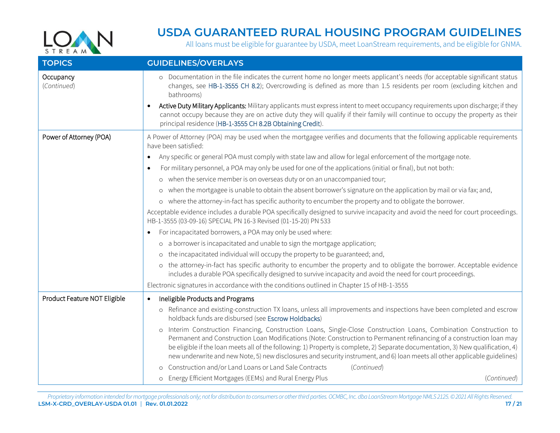

<span id="page-16-0"></span>

| <b>TOPICS</b>                | <b>GUIDELINES/OVERLAYS</b>                                                                                                                                                                                                                                                                                                                                                                                                                                                                                                                                                               |
|------------------------------|------------------------------------------------------------------------------------------------------------------------------------------------------------------------------------------------------------------------------------------------------------------------------------------------------------------------------------------------------------------------------------------------------------------------------------------------------------------------------------------------------------------------------------------------------------------------------------------|
| Occupancy<br>(Continued)     | o Documentation in the file indicates the current home no longer meets applicant's needs (for acceptable significant status<br>changes, see HB-1-3555 CH 8.2); Overcrowding is defined as more than 1.5 residents per room (excluding kitchen and<br>bathrooms)                                                                                                                                                                                                                                                                                                                          |
|                              | Active Duty Military Applicants: Military applicants must express intent to meet occupancy requirements upon discharge; if they<br>cannot occupy because they are on active duty they will qualify if their family will continue to occupy the property as their<br>principal residence (HB-1-3555 CH 8.2B Obtaining Credit).                                                                                                                                                                                                                                                            |
| Power of Attorney (POA)      | A Power of Attorney (POA) may be used when the mortgagee verifies and documents that the following applicable requirements<br>have been satisfied:                                                                                                                                                                                                                                                                                                                                                                                                                                       |
|                              | Any specific or general POA must comply with state law and allow for legal enforcement of the mortgage note.                                                                                                                                                                                                                                                                                                                                                                                                                                                                             |
|                              | For military personnel, a POA may only be used for one of the applications (initial or final), but not both:                                                                                                                                                                                                                                                                                                                                                                                                                                                                             |
|                              | o when the service member is on overseas duty or on an unaccompanied tour;                                                                                                                                                                                                                                                                                                                                                                                                                                                                                                               |
|                              | o when the mortgagee is unable to obtain the absent borrower's signature on the application by mail or via fax; and,                                                                                                                                                                                                                                                                                                                                                                                                                                                                     |
|                              | o where the attorney-in-fact has specific authority to encumber the property and to obligate the borrower.                                                                                                                                                                                                                                                                                                                                                                                                                                                                               |
|                              | Acceptable evidence includes a durable POA specifically designed to survive incapacity and avoid the need for court proceedings.<br>HB-1-3555 (03-09-16) SPECIAL PN 16-3 Revised (01-15-20) PN 533                                                                                                                                                                                                                                                                                                                                                                                       |
|                              | For incapacitated borrowers, a POA may only be used where:<br>$\bullet$                                                                                                                                                                                                                                                                                                                                                                                                                                                                                                                  |
|                              | o a borrower is incapacitated and unable to sign the mortgage application;                                                                                                                                                                                                                                                                                                                                                                                                                                                                                                               |
|                              | o the incapacitated individual will occupy the property to be guaranteed; and,                                                                                                                                                                                                                                                                                                                                                                                                                                                                                                           |
|                              | o the attorney-in-fact has specific authority to encumber the property and to obligate the borrower. Acceptable evidence<br>includes a durable POA specifically designed to survive incapacity and avoid the need for court proceedings.                                                                                                                                                                                                                                                                                                                                                 |
|                              | Electronic signatures in accordance with the conditions outlined in Chapter 15 of HB-1-3555                                                                                                                                                                                                                                                                                                                                                                                                                                                                                              |
| Product Feature NOT Eligible | Ineligible Products and Programs<br>$\bullet$                                                                                                                                                                                                                                                                                                                                                                                                                                                                                                                                            |
|                              | o Refinance and existing-construction TX loans, unless all improvements and inspections have been completed and escrow<br>holdback funds are disbursed (see Escrow Holdbacks)                                                                                                                                                                                                                                                                                                                                                                                                            |
|                              | o Interim Construction Financing, Construction Loans, Single-Close Construction Loans, Combination Construction to<br>Permanent and Construction Loan Modifications (Note: Construction to Permanent refinancing of a construction loan may<br>be eligible if the loan meets all of the following: 1) Property is complete, 2) Separate documentation, 3) New qualification, 4)<br>new underwrite and new Note, 5) new disclosures and security instrument, and 6) loan meets all other applicable guidelines)<br>o Construction and/or Land Loans or Land Sale Contracts<br>(Continued) |
|                              | o Energy Efficient Mortgages (EEMs) and Rural Energy Plus<br>(Continued)                                                                                                                                                                                                                                                                                                                                                                                                                                                                                                                 |
|                              |                                                                                                                                                                                                                                                                                                                                                                                                                                                                                                                                                                                          |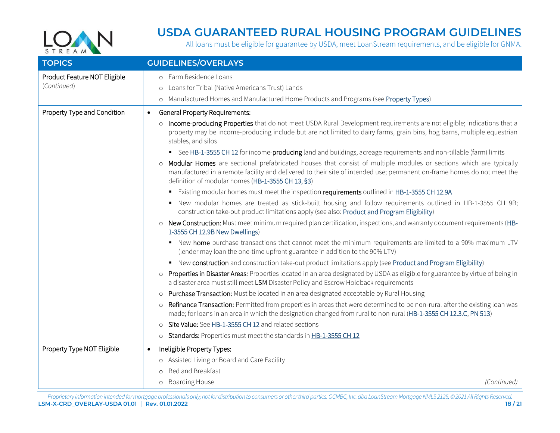

<span id="page-17-0"></span>

| <b>TOPICS</b>                               | <b>GUIDELINES/OVERLAYS</b>                                                                                                                                                                                                                                                                                                                                                                                                                                                                                                                                                                                                                                                                                                                                                                                                                                                                                                                                                                                                                                                                                                                                                                                                                                                                                                                                                                                                                                                                                                                                                                                                                                                                                                                                                                                                                                                                                                                                                                                                                                                                                                                                                                                    |
|---------------------------------------------|---------------------------------------------------------------------------------------------------------------------------------------------------------------------------------------------------------------------------------------------------------------------------------------------------------------------------------------------------------------------------------------------------------------------------------------------------------------------------------------------------------------------------------------------------------------------------------------------------------------------------------------------------------------------------------------------------------------------------------------------------------------------------------------------------------------------------------------------------------------------------------------------------------------------------------------------------------------------------------------------------------------------------------------------------------------------------------------------------------------------------------------------------------------------------------------------------------------------------------------------------------------------------------------------------------------------------------------------------------------------------------------------------------------------------------------------------------------------------------------------------------------------------------------------------------------------------------------------------------------------------------------------------------------------------------------------------------------------------------------------------------------------------------------------------------------------------------------------------------------------------------------------------------------------------------------------------------------------------------------------------------------------------------------------------------------------------------------------------------------------------------------------------------------------------------------------------------------|
| Product Feature NOT Eligible<br>(Continued) | o Farm Residence Loans<br>Loans for Tribal (Native Americans Trust) Lands<br>$\circ$<br>o Manufactured Homes and Manufactured Home Products and Programs (see Property Types)                                                                                                                                                                                                                                                                                                                                                                                                                                                                                                                                                                                                                                                                                                                                                                                                                                                                                                                                                                                                                                                                                                                                                                                                                                                                                                                                                                                                                                                                                                                                                                                                                                                                                                                                                                                                                                                                                                                                                                                                                                 |
| Property Type and Condition                 | <b>General Property Requirements:</b><br>$\bullet$<br>o Income-producing Properties that do not meet USDA Rural Development requirements are not eligible; indications that a<br>property may be income-producing include but are not limited to dairy farms, grain bins, hog barns, multiple equestrian<br>stables, and silos<br>See HB-1-3555 CH 12 for income- <b>producing</b> land and buildings, acreage requirements and non-tillable (farm) limits<br>o Modular Homes are sectional prefabricated houses that consist of multiple modules or sections which are typically<br>manufactured in a remote facility and delivered to their site of intended use; permanent on-frame homes do not meet the<br>definition of modular homes (HB-1-3555 CH 13, §3)<br>Existing modular homes must meet the inspection requirements outlined in HB-1-3555 CH 12.9A<br>٠<br>New modular homes are treated as stick-built housing and follow requirements outlined in HB-1-3555 CH 9B;<br>construction take-out product limitations apply (see also: Product and Program Eligibility)<br>o New Construction: Must meet minimum required plan certification, inspections, and warranty document requirements (HB-<br>1-3555 CH 12.9B New Dwellings)<br>• New home purchase transactions that cannot meet the minimum requirements are limited to a 90% maximum LTV<br>(lender may loan the one-time upfront guarantee in addition to the 90% LTV)<br>• New construction and construction take-out product limitations apply (see Product and Program Eligibility)<br>o Properties in Disaster Areas: Properties located in an area designated by USDA as eligible for guarantee by virtue of being in<br>a disaster area must still meet LSM Disaster Policy and Escrow Holdback requirements<br>o Purchase Transaction: Must be located in an area designated acceptable by Rural Housing<br>Refinance Transaction: Permitted from properties in areas that were determined to be non-rural after the existing loan was<br>$\circ$<br>made; for loans in an area in which the designation changed from rural to non-rural (HB-1-3555 CH 12.3.C, PN 513)<br>o Site Value: See HB-1-3555 CH 12 and related sections |
| Property Type NOT Eligible                  | o Standards: Properties must meet the standards in HB-1-3555 CH 12<br>Ineligible Property Types:<br>$\bullet$                                                                                                                                                                                                                                                                                                                                                                                                                                                                                                                                                                                                                                                                                                                                                                                                                                                                                                                                                                                                                                                                                                                                                                                                                                                                                                                                                                                                                                                                                                                                                                                                                                                                                                                                                                                                                                                                                                                                                                                                                                                                                                 |
|                                             | o Assisted Living or Board and Care Facility<br>o Bed and Breakfast<br>o Boarding House<br>(Continued)                                                                                                                                                                                                                                                                                                                                                                                                                                                                                                                                                                                                                                                                                                                                                                                                                                                                                                                                                                                                                                                                                                                                                                                                                                                                                                                                                                                                                                                                                                                                                                                                                                                                                                                                                                                                                                                                                                                                                                                                                                                                                                        |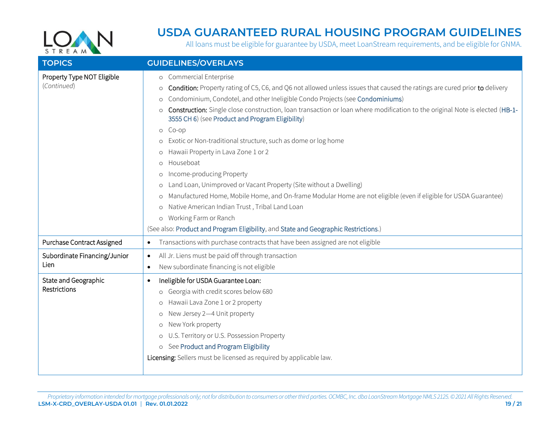

<span id="page-18-0"></span>

| <b>TOPICS</b>                             | <b>GUIDELINES/OVERLAYS</b>                                                                                                                                                                                                                                                                                                                                                                                                                                                                                                                                                                                                                                                                                                                                                                                                                                                                                                                                                                                   |
|-------------------------------------------|--------------------------------------------------------------------------------------------------------------------------------------------------------------------------------------------------------------------------------------------------------------------------------------------------------------------------------------------------------------------------------------------------------------------------------------------------------------------------------------------------------------------------------------------------------------------------------------------------------------------------------------------------------------------------------------------------------------------------------------------------------------------------------------------------------------------------------------------------------------------------------------------------------------------------------------------------------------------------------------------------------------|
| Property Type NOT Eligible<br>(Continued) | o Commercial Enterprise<br>o Condition: Property rating of C5, C6, and Q6 not allowed unless issues that caused the ratings are cured prior to delivery<br>Condominium, Condotel, and other Ineligible Condo Projects (see Condominiums)<br>$\circ$<br>o Construction: Single close construction, loan transaction or loan where modification to the original Note is elected (HB-1-<br>3555 CH 6) (see Product and Program Eligibility)<br>o Co-op<br>o Exotic or Non-traditional structure, such as dome or log home<br>Hawaii Property in Lava Zone 1 or 2<br>$\circ$<br>Houseboat<br>$\circ$<br>Income-producing Property<br>$\circ$<br>o Land Loan, Unimproved or Vacant Property (Site without a Dwelling)<br>o Manufactured Home, Mobile Home, and On-frame Modular Home are not eligible (even if eligible for USDA Guarantee)<br>o Native American Indian Trust, Tribal Land Loan<br>o Working Farm or Ranch<br>(See also: Product and Program Eligibility, and State and Geographic Restrictions.) |
| Purchase Contract Assigned                | Transactions with purchase contracts that have been assigned are not eligible<br>$\bullet$                                                                                                                                                                                                                                                                                                                                                                                                                                                                                                                                                                                                                                                                                                                                                                                                                                                                                                                   |
| Subordinate Financing/Junior<br>Lien      | All Jr. Liens must be paid off through transaction<br>$\bullet$<br>New subordinate financing is not eligible<br>$\bullet$                                                                                                                                                                                                                                                                                                                                                                                                                                                                                                                                                                                                                                                                                                                                                                                                                                                                                    |
| State and Geographic<br>Restrictions      | Ineligible for USDA Guarantee Loan:<br>$\bullet$<br>o Georgia with credit scores below 680<br>o Hawaii Lava Zone 1 or 2 property<br>o New Jersey 2-4 Unit property<br>o New York property<br>o U.S. Territory or U.S. Possession Property<br>o See Product and Program Eligibility<br>Licensing: Sellers must be licensed as required by applicable law.                                                                                                                                                                                                                                                                                                                                                                                                                                                                                                                                                                                                                                                     |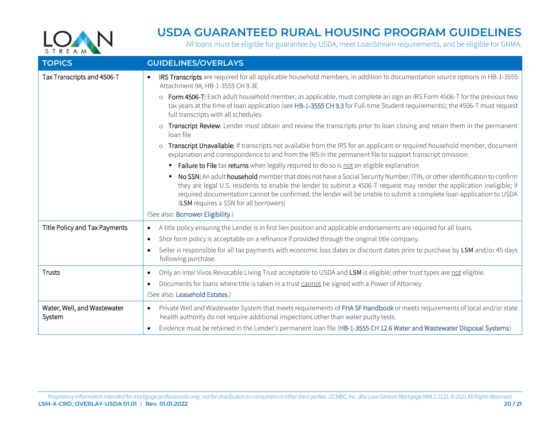

<span id="page-19-0"></span>

| <b>TOPICS</b>                         | <b>GUIDELINES/OVERLAYS</b>                                                                                                                                                                                                                                                                                                                                                                                          |
|---------------------------------------|---------------------------------------------------------------------------------------------------------------------------------------------------------------------------------------------------------------------------------------------------------------------------------------------------------------------------------------------------------------------------------------------------------------------|
| Tax Transcripts and 4506-T            | IRS Transcripts are required for all applicable household members, in addition to documentation source options in HB-1-3555<br>$\bullet$<br>Attachment 9A, HB-1-3555 CH 9.3E                                                                                                                                                                                                                                        |
|                                       | o Form 4506-T: Each adult household member, as applicable, must complete an sign an IRS Form 4506-T for the previous two<br>tax years at the time of loan application (see HB-1-3555 CH 9.3 for Full-time Student requirements); the 4506-T must request<br>full transcripts with all schedules                                                                                                                     |
|                                       | Transcript Review: Lender must obtain and review the transcripts prior to loan closing and retain them in the permanent<br>$\circ$<br>loan file                                                                                                                                                                                                                                                                     |
|                                       | Transcript Unavailable: If transcripts not available from the IRS for an applicant or required household member, document<br>$\circ$<br>explanation and correspondence to and from the IRS in the permanent file to support transcript omission                                                                                                                                                                     |
|                                       | Failure to File tax returns when legally required to do so is not an eligible explanation                                                                                                                                                                                                                                                                                                                           |
|                                       | No SSN: An adult household member that does not have a Social Security Number, ITIN, or other identification to confirm<br>they are legal U.S. residents to enable the lender to submit a 4506-T request may render the application ineligible; if<br>required documentation cannot be confirmed, the lender will be unable to submit a complete loan application to USDA<br>(LSM requires a SSN for all borrowers) |
|                                       | (See also: Borrower Eligibility.)                                                                                                                                                                                                                                                                                                                                                                                   |
| Title Policy and Tax Payments         | A title policy ensuring the Lender is in first lien position and applicable endorsements are required for all loans.<br>$\bullet$                                                                                                                                                                                                                                                                                   |
|                                       | Shor form policy is acceptable on a refinance if provided through the original title company.<br>$\bullet$                                                                                                                                                                                                                                                                                                          |
|                                       | Seller is responsible for all tax payments with economic loss dates or discount dates prior to purchase by LSM and/or 45 days<br>$\bullet$<br>following purchase.                                                                                                                                                                                                                                                   |
| Trusts                                | Only an Inter Vivos Revocable Living Trust acceptable to USDA and LSM is eligible; other trust types are not eligible.<br>$\bullet$                                                                                                                                                                                                                                                                                 |
|                                       | Documents for loans where title is taken in a trust cannot be signed with a Power of Attorney.<br>$\bullet$                                                                                                                                                                                                                                                                                                         |
|                                       | (See also: Leasehold Estates.)                                                                                                                                                                                                                                                                                                                                                                                      |
| Water, Well, and Wastewater<br>System | Private Well and Wastewater System that meets requirements of FHA SF Handbook or meets requirements of local and/or state<br>$\bullet$<br>health authority do not require additional inspections other than water purity tests.                                                                                                                                                                                     |
|                                       | Evidence must be retained in the Lender's permanent loan file (HB-1-3555 CH 12.6 Water and Wastewater Disposal Systems)                                                                                                                                                                                                                                                                                             |